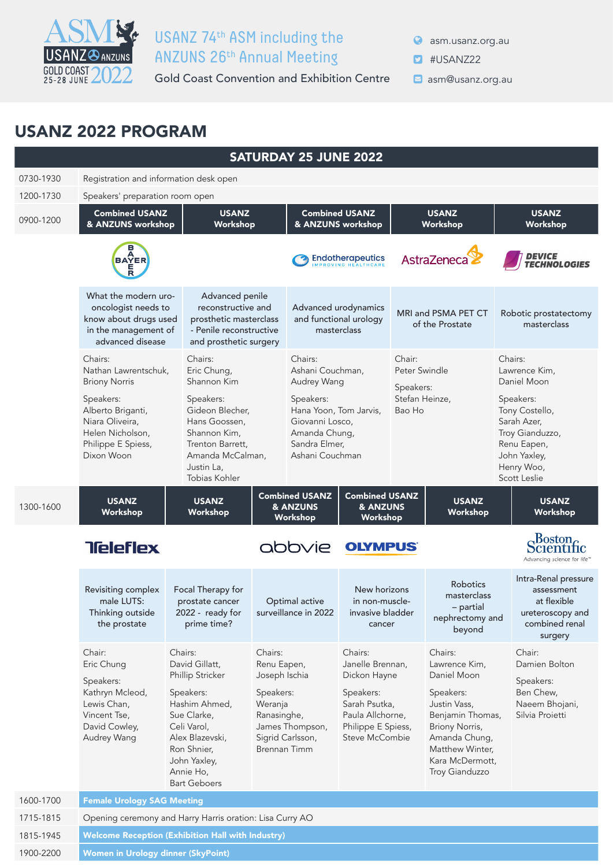

## ASME USANZ 74th ASM including the USANZ<sup>@</sup>ANZUNS 26<sup>th</sup> Annual Meeting

Gold Coast Convention and Exhibition Centre **Dame Constanz.org.au** 

**asm.usanz.org.au** 

- **D** #USANZ22
	-

## USANZ 2022 PROGRAM

|           |                                                                                                                     |                                                                                                                                                                                                 |                                                                                | <b>SATURDAY 25 JUNE 2022</b>                                                                                |                                                                                                                                       |                          |                                                                                                                                                                                     |  |                                                                                                                            |
|-----------|---------------------------------------------------------------------------------------------------------------------|-------------------------------------------------------------------------------------------------------------------------------------------------------------------------------------------------|--------------------------------------------------------------------------------|-------------------------------------------------------------------------------------------------------------|---------------------------------------------------------------------------------------------------------------------------------------|--------------------------|-------------------------------------------------------------------------------------------------------------------------------------------------------------------------------------|--|----------------------------------------------------------------------------------------------------------------------------|
| 0730-1930 | Registration and information desk open                                                                              |                                                                                                                                                                                                 |                                                                                |                                                                                                             |                                                                                                                                       |                          |                                                                                                                                                                                     |  |                                                                                                                            |
| 1200-1730 | Speakers' preparation room open                                                                                     |                                                                                                                                                                                                 |                                                                                |                                                                                                             |                                                                                                                                       |                          |                                                                                                                                                                                     |  |                                                                                                                            |
| 0900-1200 | <b>Combined USANZ</b><br>& ANZUNS workshop                                                                          | <b>USANZ</b><br>Workshop                                                                                                                                                                        |                                                                                |                                                                                                             | <b>Combined USANZ</b><br>& ANZUNS workshop                                                                                            |                          | <b>USANZ</b><br>Workshop                                                                                                                                                            |  | <b>USANZ</b><br>Workshop                                                                                                   |
|           | <b>BAYER</b>                                                                                                        |                                                                                                                                                                                                 |                                                                                |                                                                                                             | <b>Endotherapeutics</b>                                                                                                               |                          | AstraZeneca                                                                                                                                                                         |  | <i><b>DEVICE<br/>TECHNOLOGIES</b></i>                                                                                      |
|           | What the modern uro-<br>oncologist needs to<br>know about drugs used<br>in the management of<br>advanced disease    | Advanced penile<br>reconstructive and<br>prosthetic masterclass<br>- Penile reconstructive<br>and prosthetic surgery                                                                            |                                                                                |                                                                                                             | Advanced urodynamics<br>and functional urology<br>masterclass                                                                         |                          | MRI and PSMA PET CT<br>of the Prostate                                                                                                                                              |  | Robotic prostatectomy<br>masterclass                                                                                       |
|           | Chairs:<br>Nathan Lawrentschuk,<br><b>Briony Norris</b>                                                             | Chairs:<br>Eric Chung,<br>Shannon Kim                                                                                                                                                           |                                                                                | Chairs:<br>Ashani Couchman,<br>Audrey Wang                                                                  |                                                                                                                                       | Chair:<br>Speakers:      | Peter Swindle                                                                                                                                                                       |  | Chairs:<br>Lawrence Kim,<br>Daniel Moon                                                                                    |
|           | Speakers:<br>Alberto Briganti,<br>Niara Oliveira,<br>Helen Nicholson,<br>Philippe E Spiess,<br>Dixon Woon           | Speakers:<br>Gideon Blecher,<br>Hans Goossen,<br>Shannon Kim,<br>Trenton Barrett,<br>Amanda McCalman,<br>Justin La,<br>Tobias Kohler                                                            |                                                                                | Speakers:<br>Hana Yoon, Tom Jarvis,<br>Giovanni Losco,<br>Amanda Chung,<br>Sandra Elmer,<br>Ashani Couchman |                                                                                                                                       | Stefan Heinze,<br>Bao Ho |                                                                                                                                                                                     |  | Speakers:<br>Tony Costello,<br>Sarah Azer,<br>Troy Gianduzzo,<br>Renu Eapen,<br>John Yaxley,<br>Henry Woo,<br>Scott Leslie |
| 1300-1600 | <b>USANZ</b><br>Workshop                                                                                            | <b>USANZ</b><br>Workshop                                                                                                                                                                        |                                                                                | <b>Combined USANZ</b><br>& ANZUNS<br>Workshop                                                               | <b>Combined USANZ</b><br>& ANZUNS<br>Workshop                                                                                         |                          | <b>USANZ</b><br>Workshop                                                                                                                                                            |  | <b>USANZ</b><br>Workshop                                                                                                   |
|           | <b>Teleflex</b>                                                                                                     |                                                                                                                                                                                                 |                                                                                | abbvie                                                                                                      | <b>OLYMPUS</b>                                                                                                                        |                          |                                                                                                                                                                                     |  | Scientific<br>Advancing science for life™                                                                                  |
|           | Revisiting complex<br>male LUTS:<br>Thinking outside<br>the prostate                                                | Focal Therapy for<br>prostate cancer<br>2022 - ready for<br>prime time?                                                                                                                         |                                                                                | Optimal active<br>surveillance in 2022                                                                      | New horizons<br>in non-muscle-<br>invasive bladder<br>cancer                                                                          |                          | Robotics<br>masterclass<br>- partial<br>nephrectomy and<br>beyond                                                                                                                   |  | Intra-Renal pressure<br>assessment<br>at flexible<br>ureteroscopy and<br>combined renal<br>surgery                         |
|           | Chair:<br>Eric Chung<br>Speakers:<br>Kathryn Mcleod,<br>Lewis Chan,<br>Vincent Tse,<br>David Cowley,<br>Audrey Wang | Chairs:<br>David Gillatt,<br>Phillip Stricker<br>Speakers:<br>Hashim Ahmed,<br>Sue Clarke,<br>Celi Varol,<br>Alex Blazevski,<br>Ron Shnier,<br>John Yaxley,<br>Annie Ho,<br><b>Bart Geboers</b> | Chairs:<br>Renu Eapen,<br>Joseph Ischia<br>Speakers:<br>Weranja<br>Ranasinghe, | James Thompson,<br>Sigrid Carlsson,<br><b>Brennan Timm</b>                                                  | Chairs:<br>Janelle Brennan,<br>Dickon Hayne<br>Speakers:<br>Sarah Psutka,<br>Paula Allchorne,<br>Philippe E Spiess,<br>Steve McCombie |                          | Chairs:<br>Lawrence Kim,<br>Daniel Moon<br>Speakers:<br>Justin Vass,<br>Benjamin Thomas,<br>Briony Norris,<br>Amanda Chung,<br>Matthew Winter,<br>Kara McDermott,<br>Troy Gianduzzo |  | Chair:<br>Damien Bolton<br>Speakers:<br>Ben Chew,<br>Naeem Bhojani,<br>Silvia Proietti                                     |
| 1600-1700 | <b>Female Urology SAG Meeting</b>                                                                                   |                                                                                                                                                                                                 |                                                                                |                                                                                                             |                                                                                                                                       |                          |                                                                                                                                                                                     |  |                                                                                                                            |
| 1715-1815 | Opening ceremony and Harry Harris oration: Lisa Curry AO                                                            |                                                                                                                                                                                                 |                                                                                |                                                                                                             |                                                                                                                                       |                          |                                                                                                                                                                                     |  |                                                                                                                            |
| 1815-1945 | <b>Welcome Reception (Exhibition Hall with Industry)</b>                                                            |                                                                                                                                                                                                 |                                                                                |                                                                                                             |                                                                                                                                       |                          |                                                                                                                                                                                     |  |                                                                                                                            |
| 1900-2200 | Women in Urology dinner (SkyPoint)                                                                                  |                                                                                                                                                                                                 |                                                                                |                                                                                                             |                                                                                                                                       |                          |                                                                                                                                                                                     |  |                                                                                                                            |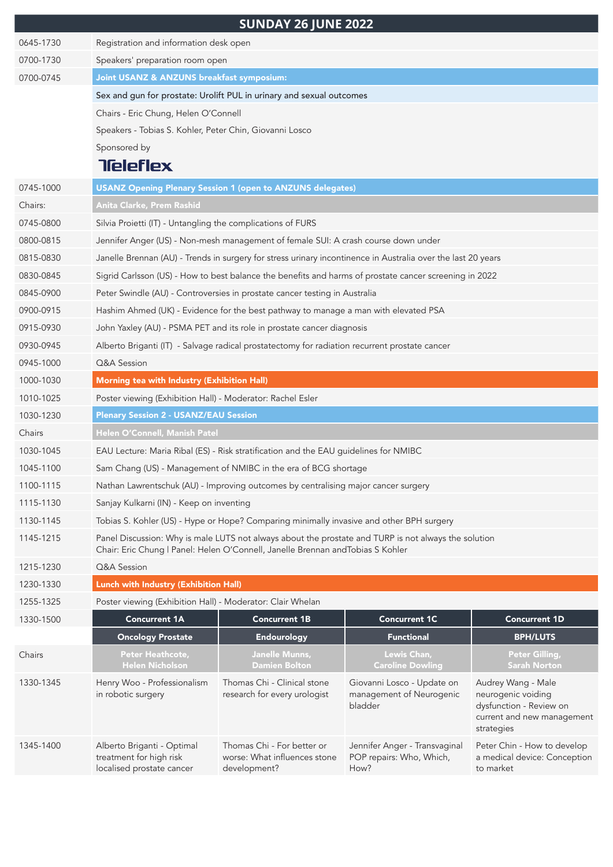|           |                                                                                                                                                                                         | <b>SUNDAY 26 JUNE 2022</b>                                                                                   |                                                                   |                                                                                                                 |  |  |
|-----------|-----------------------------------------------------------------------------------------------------------------------------------------------------------------------------------------|--------------------------------------------------------------------------------------------------------------|-------------------------------------------------------------------|-----------------------------------------------------------------------------------------------------------------|--|--|
| 0645-1730 | Registration and information desk open                                                                                                                                                  |                                                                                                              |                                                                   |                                                                                                                 |  |  |
| 0700-1730 | Speakers' preparation room open                                                                                                                                                         |                                                                                                              |                                                                   |                                                                                                                 |  |  |
| 0700-0745 | Joint USANZ & ANZUNS breakfast symposium:                                                                                                                                               |                                                                                                              |                                                                   |                                                                                                                 |  |  |
|           |                                                                                                                                                                                         | Sex and gun for prostate: Urolift PUL in urinary and sexual outcomes                                         |                                                                   |                                                                                                                 |  |  |
|           | Chairs - Eric Chung, Helen O'Connell                                                                                                                                                    |                                                                                                              |                                                                   |                                                                                                                 |  |  |
|           | Speakers - Tobias S. Kohler, Peter Chin, Giovanni Losco                                                                                                                                 |                                                                                                              |                                                                   |                                                                                                                 |  |  |
|           | Sponsored by                                                                                                                                                                            |                                                                                                              |                                                                   |                                                                                                                 |  |  |
|           | <b>Tieleflex</b>                                                                                                                                                                        |                                                                                                              |                                                                   |                                                                                                                 |  |  |
| 0745-1000 |                                                                                                                                                                                         | <b>USANZ Opening Plenary Session 1 (open to ANZUNS delegates)</b>                                            |                                                                   |                                                                                                                 |  |  |
| Chairs:   | Anita Clarke, Prem Rashid                                                                                                                                                               |                                                                                                              |                                                                   |                                                                                                                 |  |  |
| 0745-0800 | Silvia Proietti (IT) - Untangling the complications of FURS                                                                                                                             |                                                                                                              |                                                                   |                                                                                                                 |  |  |
| 0800-0815 |                                                                                                                                                                                         | Jennifer Anger (US) - Non-mesh management of female SUI: A crash course down under                           |                                                                   |                                                                                                                 |  |  |
| 0815-0830 |                                                                                                                                                                                         | Janelle Brennan (AU) - Trends in surgery for stress urinary incontinence in Australia over the last 20 years |                                                                   |                                                                                                                 |  |  |
| 0830-0845 |                                                                                                                                                                                         | Sigrid Carlsson (US) - How to best balance the benefits and harms of prostate cancer screening in 2022       |                                                                   |                                                                                                                 |  |  |
| 0845-0900 |                                                                                                                                                                                         | Peter Swindle (AU) - Controversies in prostate cancer testing in Australia                                   |                                                                   |                                                                                                                 |  |  |
| 0900-0915 |                                                                                                                                                                                         | Hashim Ahmed (UK) - Evidence for the best pathway to manage a man with elevated PSA                          |                                                                   |                                                                                                                 |  |  |
| 0915-0930 |                                                                                                                                                                                         | John Yaxley (AU) - PSMA PET and its role in prostate cancer diagnosis                                        |                                                                   |                                                                                                                 |  |  |
| 0930-0945 |                                                                                                                                                                                         | Alberto Briganti (IT) - Salvage radical prostatectomy for radiation recurrent prostate cancer                |                                                                   |                                                                                                                 |  |  |
| 0945-1000 | Q&A Session                                                                                                                                                                             |                                                                                                              |                                                                   |                                                                                                                 |  |  |
| 1000-1030 | Morning tea with Industry (Exhibition Hall)                                                                                                                                             |                                                                                                              |                                                                   |                                                                                                                 |  |  |
| 1010-1025 | Poster viewing (Exhibition Hall) - Moderator: Rachel Esler                                                                                                                              |                                                                                                              |                                                                   |                                                                                                                 |  |  |
| 1030-1230 | <b>Plenary Session 2 - USANZ/EAU Session</b>                                                                                                                                            |                                                                                                              |                                                                   |                                                                                                                 |  |  |
| Chairs    | Helen O'Connell, Manish Patel                                                                                                                                                           |                                                                                                              |                                                                   |                                                                                                                 |  |  |
| 1030-1045 | EAU Lecture: Maria Ribal (ES) - Risk stratification and the EAU guidelines for NMIBC                                                                                                    |                                                                                                              |                                                                   |                                                                                                                 |  |  |
| 1045-1100 | Sam Chang (US) - Management of NMIBC in the era of BCG shortage                                                                                                                         |                                                                                                              |                                                                   |                                                                                                                 |  |  |
| 1100-1115 | Nathan Lawrentschuk (AU) - Improving outcomes by centralising major cancer surgery                                                                                                      |                                                                                                              |                                                                   |                                                                                                                 |  |  |
| 1115-1130 | Sanjay Kulkarni (IN) - Keep on inventing                                                                                                                                                |                                                                                                              |                                                                   |                                                                                                                 |  |  |
| 1130-1145 | Tobias S. Kohler (US) - Hype or Hope? Comparing minimally invasive and other BPH surgery                                                                                                |                                                                                                              |                                                                   |                                                                                                                 |  |  |
| 1145-1215 | Panel Discussion: Why is male LUTS not always about the prostate and TURP is not always the solution<br>Chair: Eric Chung   Panel: Helen O'Connell, Janelle Brennan and Tobias S Kohler |                                                                                                              |                                                                   |                                                                                                                 |  |  |
| 1215-1230 | Q&A Session                                                                                                                                                                             |                                                                                                              |                                                                   |                                                                                                                 |  |  |
| 1230-1330 | Lunch with Industry (Exhibition Hall)                                                                                                                                                   |                                                                                                              |                                                                   |                                                                                                                 |  |  |
| 1255-1325 | Poster viewing (Exhibition Hall) - Moderator: Clair Whelan                                                                                                                              |                                                                                                              |                                                                   |                                                                                                                 |  |  |
| 1330-1500 | <b>Concurrent 1A</b>                                                                                                                                                                    | <b>Concurrent 1B</b>                                                                                         | <b>Concurrent 1C</b>                                              | <b>Concurrent 1D</b>                                                                                            |  |  |
|           | <b>Oncology Prostate</b>                                                                                                                                                                | <b>Endourology</b>                                                                                           | <b>Functional</b>                                                 | <b>BPH/LUTS</b>                                                                                                 |  |  |
| Chairs    | Peter Heathcote,<br><b>Helen Nicholson</b>                                                                                                                                              | Janelle Munns,<br><b>Damien Bolton</b>                                                                       | Lewis Chan,<br><b>Caroline Dowling</b>                            | Peter Gilling,<br><b>Sarah Norton</b>                                                                           |  |  |
| 1330-1345 | Henry Woo - Professionalism<br>in robotic surgery                                                                                                                                       | Thomas Chi - Clinical stone<br>research for every urologist                                                  | Giovanni Losco - Update on<br>management of Neurogenic<br>bladder | Audrey Wang - Male<br>neurogenic voiding<br>dysfunction - Review on<br>current and new management<br>strategies |  |  |
| 1345-1400 | Alberto Briganti - Optimal<br>treatment for high risk<br>localised prostate cancer                                                                                                      | Thomas Chi - For better or<br>worse: What influences stone<br>development?                                   | Jennifer Anger - Transvaginal<br>POP repairs: Who, Which,<br>How? | Peter Chin - How to develop<br>a medical device: Conception<br>to market                                        |  |  |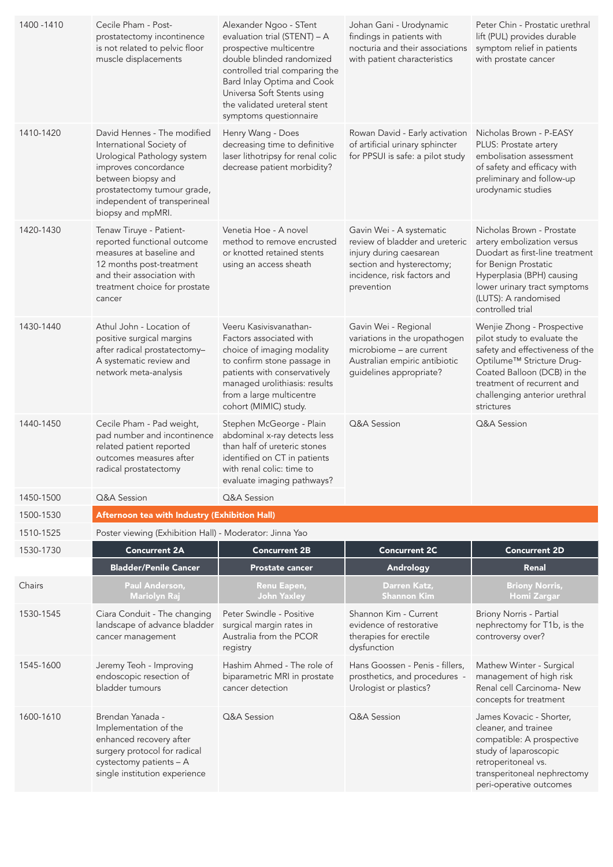| 1400 - 1410 | Cecile Pham - Post-<br>prostatectomy incontinence<br>is not related to pelvic floor<br>muscle displacements                                                                                                              | Alexander Ngoo - STent<br>evaluation trial (STENT) - A<br>prospective multicentre<br>double blinded randomized<br>controlled trial comparing the<br>Bard Inlay Optima and Cook<br>Universa Soft Stents using<br>the validated ureteral stent<br>symptoms questionnaire | Johan Gani - Urodynamic<br>findings in patients with<br>nocturia and their associations<br>with patient characteristics                                         | Peter Chin - Prostatic urethral<br>lift (PUL) provides durable<br>symptom relief in patients<br>with prostate cancer                                                                                                                              |
|-------------|--------------------------------------------------------------------------------------------------------------------------------------------------------------------------------------------------------------------------|------------------------------------------------------------------------------------------------------------------------------------------------------------------------------------------------------------------------------------------------------------------------|-----------------------------------------------------------------------------------------------------------------------------------------------------------------|---------------------------------------------------------------------------------------------------------------------------------------------------------------------------------------------------------------------------------------------------|
| 1410-1420   | David Hennes - The modified<br>International Society of<br>Urological Pathology system<br>improves concordance<br>between biopsy and<br>prostatectomy tumour grade,<br>independent of transperineal<br>biopsy and mpMRI. | Henry Wang - Does<br>decreasing time to definitive<br>laser lithotripsy for renal colic<br>decrease patient morbidity?                                                                                                                                                 | Rowan David - Early activation<br>of artificial urinary sphincter<br>for PPSUI is safe: a pilot study                                                           | Nicholas Brown - P-EASY<br>PLUS: Prostate artery<br>embolisation assessment<br>of safety and efficacy with<br>preliminary and follow-up<br>urodynamic studies                                                                                     |
| 1420-1430   | Tenaw Tiruye - Patient-<br>reported functional outcome<br>measures at baseline and<br>12 months post-treatment<br>and their association with<br>treatment choice for prostate<br>cancer                                  | Venetia Hoe - A novel<br>method to remove encrusted<br>or knotted retained stents<br>using an access sheath                                                                                                                                                            | Gavin Wei - A systematic<br>review of bladder and ureteric<br>injury during caesarean<br>section and hysterectomy;<br>incidence, risk factors and<br>prevention | Nicholas Brown - Prostate<br>artery embolization versus<br>Duodart as first-line treatment<br>for Benign Prostatic<br>Hyperplasia (BPH) causing<br>lower urinary tract symptoms<br>(LUTS): A randomised<br>controlled trial                       |
| 1430-1440   | Athul John - Location of<br>positive surgical margins<br>after radical prostatectomy-<br>A systematic review and<br>network meta-analysis                                                                                | Veeru Kasivisvanathan-<br>Factors associated with<br>choice of imaging modality<br>to confirm stone passage in<br>patients with conservatively<br>managed urolithiasis: results<br>from a large multicentre<br>cohort (MIMIC) study.                                   | Gavin Wei - Regional<br>variations in the uropathogen<br>microbiome - are current<br>Australian empiric antibiotic<br>guidelines appropriate?                   | Wenjie Zhong - Prospective<br>pilot study to evaluate the<br>safety and effectiveness of the<br>Optilume <sup>™</sup> Stricture Drug-<br>Coated Balloon (DCB) in the<br>treatment of recurrent and<br>challenging anterior urethral<br>strictures |
| 1440-1450   | Cecile Pham - Pad weight,<br>pad number and incontinence<br>related patient reported<br>outcomes measures after<br>radical prostatectomy                                                                                 | Stephen McGeorge - Plain<br>abdominal x-ray detects less<br>than half of ureteric stones<br>identified on CT in patients<br>with renal colic: time to<br>evaluate imaging pathways?                                                                                    | Q&A Session                                                                                                                                                     | Q&A Session                                                                                                                                                                                                                                       |
| 1450-1500   | Q&A Session                                                                                                                                                                                                              | Q&A Session                                                                                                                                                                                                                                                            |                                                                                                                                                                 |                                                                                                                                                                                                                                                   |
| 1500-1530   | Afternoon tea with Industry (Exhibition Hall)                                                                                                                                                                            |                                                                                                                                                                                                                                                                        |                                                                                                                                                                 |                                                                                                                                                                                                                                                   |
| 1510-1525   | Poster viewing (Exhibition Hall) - Moderator: Jinna Yao                                                                                                                                                                  |                                                                                                                                                                                                                                                                        |                                                                                                                                                                 |                                                                                                                                                                                                                                                   |
| 1530-1730   | <b>Concurrent 2A</b>                                                                                                                                                                                                     | <b>Concurrent 2B</b>                                                                                                                                                                                                                                                   | <b>Concurrent 2C</b>                                                                                                                                            | <b>Concurrent 2D</b>                                                                                                                                                                                                                              |
|             | <b>Bladder/Penile Cancer</b>                                                                                                                                                                                             | <b>Prostate cancer</b>                                                                                                                                                                                                                                                 | Andrology                                                                                                                                                       | Renal                                                                                                                                                                                                                                             |
| Chairs      | Paul Anderson,<br><b>Mariolyn Raj</b>                                                                                                                                                                                    | Renu Eapen,<br><b>John Yaxley</b>                                                                                                                                                                                                                                      | Darren Katz,<br><b>Shannon Kim</b>                                                                                                                              | <b>Briony Norris,</b><br><b>Homi Zargar</b>                                                                                                                                                                                                       |
| 1530-1545   | Ciara Conduit - The changing<br>landscape of advance bladder<br>cancer management                                                                                                                                        | Peter Swindle - Positive<br>surgical margin rates in<br>Australia from the PCOR<br>registry                                                                                                                                                                            | Shannon Kim - Current<br>evidence of restorative<br>therapies for erectile<br>dysfunction                                                                       | Briony Norris - Partial<br>nephrectomy for T1b, is the<br>controversy over?                                                                                                                                                                       |
| 1545-1600   | Jeremy Teoh - Improving<br>endoscopic resection of<br>bladder tumours                                                                                                                                                    | Hashim Ahmed - The role of<br>biparametric MRI in prostate<br>cancer detection                                                                                                                                                                                         | Hans Goossen - Penis - fillers,<br>prosthetics, and procedures -<br>Urologist or plastics?                                                                      | Mathew Winter - Surgical<br>management of high risk<br>Renal cell Carcinoma- New<br>concepts for treatment                                                                                                                                        |
| 1600-1610   | Brendan Yanada -<br>Implementation of the<br>enhanced recovery after<br>surgery protocol for radical<br>cystectomy patients - A<br>single institution experience                                                         | Q&A Session                                                                                                                                                                                                                                                            | Q&A Session                                                                                                                                                     | James Kovacic - Shorter,<br>cleaner, and trainee<br>compatible: A prospective<br>study of laparoscopic<br>retroperitoneal vs.<br>transperitoneal nephrectomy<br>peri-operative outcomes                                                           |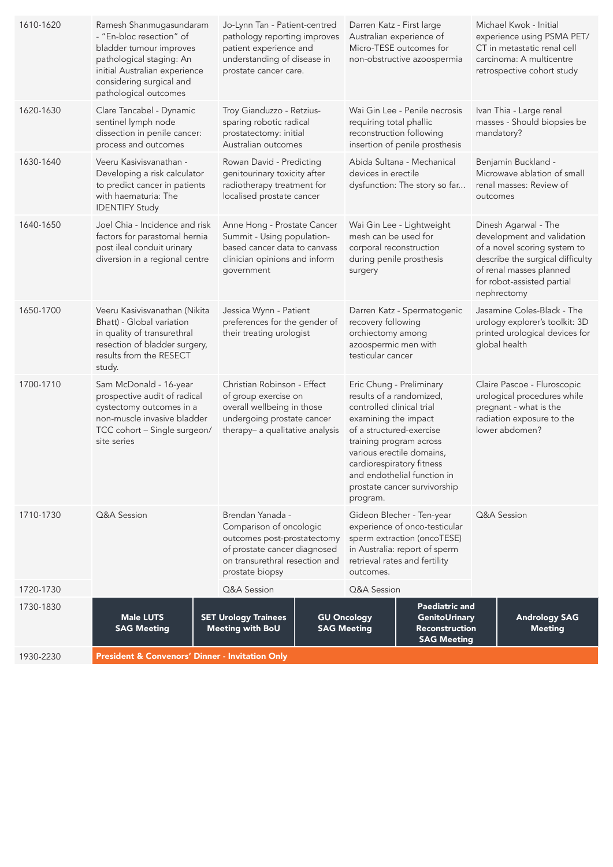| 1610-1620 | Ramesh Shanmugasundaram<br>- "En-bloc resection" of<br>bladder tumour improves<br>pathological staging: An<br>initial Australian experience<br>considering surgical and<br>pathological outcomes | Jo-Lynn Tan - Patient-centred<br>pathology reporting improves<br>patient experience and<br>understanding of disease in<br>prostate cancer care.    |                                                                                                                          | Darren Katz - First large                                                                                                                                                                                 | Australian experience of<br>Micro-TESE outcomes for<br>non-obstructive azoospermia                                                                                       |          | Michael Kwok - Initial<br>experience using PSMA PET/<br>CT in metastatic renal cell<br>carcinoma: A multicentre<br>retrospective cohort study                                                  |
|-----------|--------------------------------------------------------------------------------------------------------------------------------------------------------------------------------------------------|----------------------------------------------------------------------------------------------------------------------------------------------------|--------------------------------------------------------------------------------------------------------------------------|-----------------------------------------------------------------------------------------------------------------------------------------------------------------------------------------------------------|--------------------------------------------------------------------------------------------------------------------------------------------------------------------------|----------|------------------------------------------------------------------------------------------------------------------------------------------------------------------------------------------------|
| 1620-1630 | Clare Tancabel - Dynamic<br>sentinel lymph node<br>dissection in penile cancer:<br>process and outcomes                                                                                          | Troy Gianduzzo - Retzius-<br>sparing robotic radical<br>prostatectomy: initial<br>Australian outcomes                                              |                                                                                                                          | requiring total phallic<br>reconstruction following                                                                                                                                                       | Wai Gin Lee - Penile necrosis<br>insertion of penile prosthesis                                                                                                          |          | Ivan Thia - Large renal<br>masses - Should biopsies be<br>mandatory?                                                                                                                           |
| 1630-1640 | Veeru Kasivisvanathan -<br>Developing a risk calculator<br>to predict cancer in patients<br>with haematuria: The<br><b>IDENTIFY Study</b>                                                        | Rowan David - Predicting<br>genitourinary toxicity after<br>radiotherapy treatment for<br>localised prostate cancer                                |                                                                                                                          | devices in erectile                                                                                                                                                                                       | Abida Sultana - Mechanical<br>dysfunction: The story so far                                                                                                              | outcomes | Benjamin Buckland -<br>Microwave ablation of small<br>renal masses: Review of                                                                                                                  |
| 1640-1650 | Joel Chia - Incidence and risk<br>factors for parastomal hernia<br>post ileal conduit urinary<br>diversion in a regional centre                                                                  | Anne Hong - Prostate Cancer<br>Summit - Using population-<br>based cancer data to canvass<br>clinician opinions and inform<br>government           |                                                                                                                          | mesh can be used for<br>corporal reconstruction<br>during penile prosthesis<br>surgery                                                                                                                    | Wai Gin Lee - Lightweight                                                                                                                                                |          | Dinesh Agarwal - The<br>development and validation<br>of a novel scoring system to<br>describe the surgical difficulty<br>of renal masses planned<br>for robot-assisted partial<br>nephrectomy |
| 1650-1700 | Veeru Kasivisvanathan (Nikita<br>Bhatt) - Global variation<br>in quality of transurethral<br>resection of bladder surgery,<br>results from the RESECT<br>study.                                  | Jessica Wynn - Patient<br>preferences for the gender of<br>their treating urologist                                                                |                                                                                                                          | recovery following<br>orchiectomy among<br>azoospermic men with<br>testicular cancer                                                                                                                      | Darren Katz - Spermatogenic                                                                                                                                              |          | Jasamine Coles-Black - The<br>urology explorer's toolkit: 3D<br>printed urological devices for<br>global health                                                                                |
| 1700-1710 | Sam McDonald - 16-year<br>prospective audit of radical<br>cystectomy outcomes in a<br>non-muscle invasive bladder<br>TCC cohort - Single surgeon/<br>site series                                 | Christian Robinson - Effect<br>of group exercise on<br>overall wellbeing in those<br>undergoing prostate cancer<br>therapy- a qualitative analysis |                                                                                                                          | Eric Chung - Preliminary<br>results of a randomized,<br>controlled clinical trial<br>examining the impact<br>of a structured-exercise<br>training program across<br>cardiorespiratory fitness<br>program. | various erectile domains,<br>and endothelial function in<br>prostate cancer survivorship                                                                                 |          | Claire Pascoe - Fluroscopic<br>urological procedures while<br>pregnant - what is the<br>radiation exposure to the<br>lower abdomen?                                                            |
| 1710-1730 | Q&A Session                                                                                                                                                                                      | Brendan Yanada -<br>prostate biopsy                                                                                                                | Comparison of oncologic<br>outcomes post-prostatectomy<br>of prostate cancer diagnosed<br>on transurethral resection and |                                                                                                                                                                                                           | Gideon Blecher - Ten-year<br>experience of onco-testicular<br>sperm extraction (oncoTESE)<br>in Australia: report of sperm<br>retrieval rates and fertility<br>outcomes. |          | Q&A Session                                                                                                                                                                                    |
| 1720-1730 |                                                                                                                                                                                                  | Q&A Session                                                                                                                                        |                                                                                                                          | Q&A Session                                                                                                                                                                                               |                                                                                                                                                                          |          |                                                                                                                                                                                                |
| 1730-1830 | <b>Male LUTS</b><br><b>SAG Meeting</b>                                                                                                                                                           | <b>SET Urology Trainees</b><br><b>Meeting with BoU</b>                                                                                             |                                                                                                                          | <b>GU Oncology</b><br><b>SAG Meeting</b>                                                                                                                                                                  | <b>Paediatric and</b><br>GenitoUrinary<br><b>Reconstruction</b><br><b>SAG Meeting</b>                                                                                    |          | <b>Andrology SAG</b><br><b>Meeting</b>                                                                                                                                                         |
| 1930-2230 | President & Convenors' Dinner - Invitation Only                                                                                                                                                  |                                                                                                                                                    |                                                                                                                          |                                                                                                                                                                                                           |                                                                                                                                                                          |          |                                                                                                                                                                                                |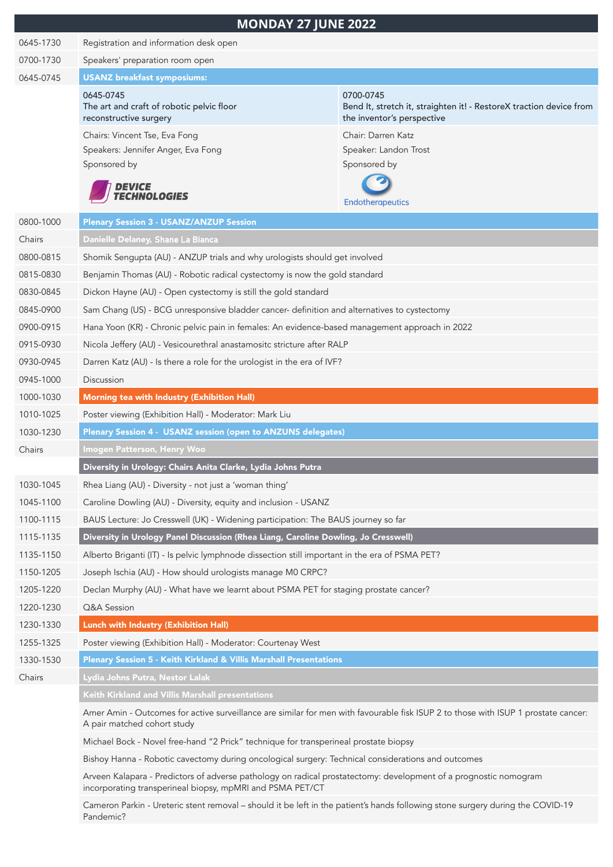|           | <b>MONDAY 27 JUNE 2022</b>                                                                                                                                                    |                                                                                                                |  |  |  |
|-----------|-------------------------------------------------------------------------------------------------------------------------------------------------------------------------------|----------------------------------------------------------------------------------------------------------------|--|--|--|
| 0645-1730 | Registration and information desk open                                                                                                                                        |                                                                                                                |  |  |  |
| 0700-1730 | Speakers' preparation room open                                                                                                                                               |                                                                                                                |  |  |  |
| 0645-0745 | <b>USANZ</b> breakfast symposiums:                                                                                                                                            |                                                                                                                |  |  |  |
|           | 0645-0745<br>The art and craft of robotic pelvic floor<br>reconstructive surgery                                                                                              | 0700-0745<br>Bend It, stretch it, straighten it! - RestoreX traction device from<br>the inventor's perspective |  |  |  |
|           | Chairs: Vincent Tse, Eva Fong                                                                                                                                                 | Chair: Darren Katz                                                                                             |  |  |  |
|           | Speakers: Jennifer Anger, Eva Fong<br>Sponsored by                                                                                                                            | Speaker: Landon Trost<br>Sponsored by                                                                          |  |  |  |
|           | <i><b>DEVICE<br/>TECHNOLOGIES</b></i>                                                                                                                                         | <b>Endotherapeutics</b>                                                                                        |  |  |  |
| 0800-1000 | <b>Plenary Session 3 - USANZ/ANZUP Session</b>                                                                                                                                |                                                                                                                |  |  |  |
| Chairs    | Danielle Delaney, Shane La Bianca                                                                                                                                             |                                                                                                                |  |  |  |
| 0800-0815 | Shomik Sengupta (AU) - ANZUP trials and why urologists should get involved                                                                                                    |                                                                                                                |  |  |  |
| 0815-0830 | Benjamin Thomas (AU) - Robotic radical cystectomy is now the gold standard                                                                                                    |                                                                                                                |  |  |  |
| 0830-0845 | Dickon Hayne (AU) - Open cystectomy is still the gold standard                                                                                                                |                                                                                                                |  |  |  |
| 0845-0900 | Sam Chang (US) - BCG unresponsive bladder cancer- definition and alternatives to cystectomy                                                                                   |                                                                                                                |  |  |  |
| 0900-0915 | Hana Yoon (KR) - Chronic pelvic pain in females: An evidence-based management approach in 2022                                                                                |                                                                                                                |  |  |  |
| 0915-0930 | Nicola Jeffery (AU) - Vesicourethral anastamositc stricture after RALP                                                                                                        |                                                                                                                |  |  |  |
| 0930-0945 | Darren Katz (AU) - Is there a role for the urologist in the era of IVF?                                                                                                       |                                                                                                                |  |  |  |
| 0945-1000 | Discussion                                                                                                                                                                    |                                                                                                                |  |  |  |
| 1000-1030 | Morning tea with Industry (Exhibition Hall)                                                                                                                                   |                                                                                                                |  |  |  |
| 1010-1025 | Poster viewing (Exhibition Hall) - Moderator: Mark Liu                                                                                                                        |                                                                                                                |  |  |  |
| 1030-1230 | Plenary Session 4 - USANZ session (open to ANZUNS delegates)                                                                                                                  |                                                                                                                |  |  |  |
| Chairs    | Imogen Patterson, Henry Woo                                                                                                                                                   |                                                                                                                |  |  |  |
|           | Diversity in Urology: Chairs Anita Clarke, Lydia Johns Putra                                                                                                                  |                                                                                                                |  |  |  |
| 1030-1045 | Rhea Liang (AU) - Diversity - not just a 'woman thing'                                                                                                                        |                                                                                                                |  |  |  |
| 1045-1100 | Caroline Dowling (AU) - Diversity, equity and inclusion - USANZ                                                                                                               |                                                                                                                |  |  |  |
| 1100-1115 | BAUS Lecture: Jo Cresswell (UK) - Widening participation: The BAUS journey so far                                                                                             |                                                                                                                |  |  |  |
| 1115-1135 | Diversity in Urology Panel Discussion (Rhea Liang, Caroline Dowling, Jo Cresswell)                                                                                            |                                                                                                                |  |  |  |
| 1135-1150 | Alberto Briganti (IT) - Is pelvic lymphnode dissection still important in the era of PSMA PET?                                                                                |                                                                                                                |  |  |  |
| 1150-1205 | Joseph Ischia (AU) - How should urologists manage M0 CRPC?                                                                                                                    |                                                                                                                |  |  |  |
| 1205-1220 | Declan Murphy (AU) - What have we learnt about PSMA PET for staging prostate cancer?                                                                                          |                                                                                                                |  |  |  |
| 1220-1230 | Q&A Session                                                                                                                                                                   |                                                                                                                |  |  |  |
| 1230-1330 | Lunch with Industry (Exhibition Hall)                                                                                                                                         |                                                                                                                |  |  |  |
| 1255-1325 | Poster viewing (Exhibition Hall) - Moderator: Courtenay West                                                                                                                  |                                                                                                                |  |  |  |
| 1330-1530 | Plenary Session 5 - Keith Kirkland & Villis Marshall Presentations                                                                                                            |                                                                                                                |  |  |  |
| Chairs    | Lydia Johns Putra, Nestor Lalak                                                                                                                                               |                                                                                                                |  |  |  |
|           | Keith Kirkland and Villis Marshall presentations                                                                                                                              |                                                                                                                |  |  |  |
|           | Amer Amin - Outcomes for active surveillance are similar for men with favourable fisk ISUP 2 to those with ISUP 1 prostate cancer:<br>A pair matched cohort study             |                                                                                                                |  |  |  |
|           | Michael Bock - Novel free-hand "2 Prick" technique for transperineal prostate biopsy                                                                                          |                                                                                                                |  |  |  |
|           | Bishoy Hanna - Robotic cavectomy during oncological surgery: Technical considerations and outcomes                                                                            |                                                                                                                |  |  |  |
|           | Arveen Kalapara - Predictors of adverse pathology on radical prostatectomy: development of a prognostic nomogram<br>incorporating transperineal biopsy, mpMRI and PSMA PET/CT |                                                                                                                |  |  |  |
|           | Cameron Parkin - Ureteric stent removal - should it be left in the patient's hands following stone surgery during the COVID-19                                                |                                                                                                                |  |  |  |

Pandemic?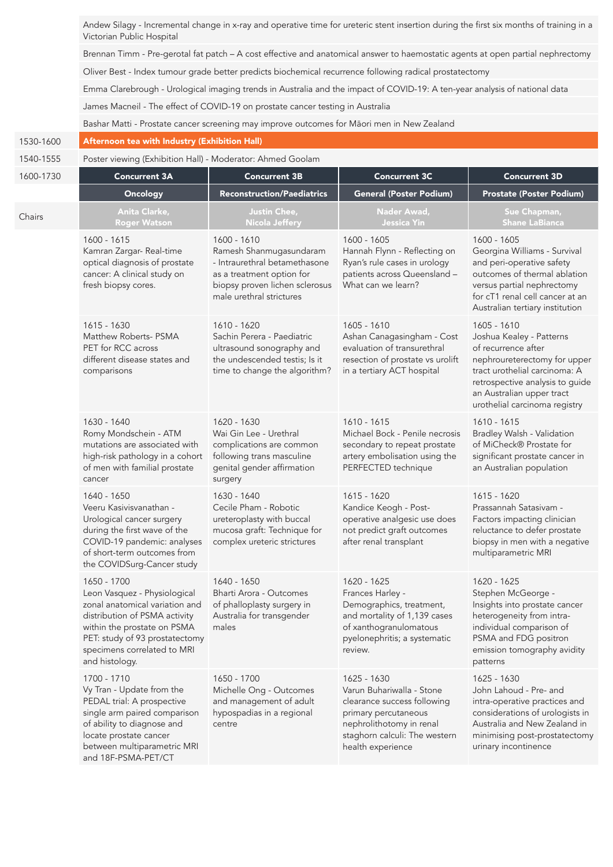Andew Silagy - Incremental change in x-ray and operative time for ureteric stent insertion during the first six months of training in a Victorian Public Hospital

Brennan Timm - Pre-gerotal fat patch – A cost effective and anatomical answer to haemostatic agents at open partial nephrectomy

Oliver Best - Index tumour grade better predicts biochemical recurrence following radical prostatectomy

Emma Clarebrough - Urological imaging trends in Australia and the impact of COVID-19: A ten-year analysis of national data

James Macneil - The effect of COVID-19 on prostate cancer testing in Australia

Bashar Matti - Prostate cancer screening may improve outcomes for Māori men in New Zealand

## 1530-1600 Afternoon tea with Industry (Exhibition Hall)

1540-1555 Poster viewing (Exhibition Hall) - Moderator: Ahmed Goolam

| 1600-1730 | <b>Concurrent 3A</b>                                                                                                                                                                                                             | <b>Concurrent 3B</b>                                                                                                                                               | <b>Concurrent 3C</b>                                                                                                                                                              | <b>Concurrent 3D</b>                                                                                                                                                                                                             |  |  |
|-----------|----------------------------------------------------------------------------------------------------------------------------------------------------------------------------------------------------------------------------------|--------------------------------------------------------------------------------------------------------------------------------------------------------------------|-----------------------------------------------------------------------------------------------------------------------------------------------------------------------------------|----------------------------------------------------------------------------------------------------------------------------------------------------------------------------------------------------------------------------------|--|--|
|           | Oncology                                                                                                                                                                                                                         | <b>Reconstruction/Paediatrics</b>                                                                                                                                  | <b>General (Poster Podium)</b>                                                                                                                                                    | <b>Prostate (Poster Podium)</b>                                                                                                                                                                                                  |  |  |
| Chairs    | Anita Clarke,<br><b>Roger Watson</b>                                                                                                                                                                                             | Justin Chee,<br><b>Nicola Jeffery</b>                                                                                                                              | Nader Awad,<br><b>Jessica Yin</b>                                                                                                                                                 | Sue Chapman,<br><b>Shane LaBianca</b>                                                                                                                                                                                            |  |  |
|           | 1600 - 1615<br>Kamran Zargar- Real-time<br>optical diagnosis of prostate<br>cancer: A clinical study on<br>fresh biopsy cores.                                                                                                   | 1600 - 1610<br>Ramesh Shanmugasundaram<br>- Intraurethral betamethasone<br>as a treatment option for<br>biopsy proven lichen sclerosus<br>male urethral strictures | 1600 - 1605<br>Hannah Flynn - Reflecting on<br>Ryan's rule cases in urology<br>patients across Queensland -<br>What can we learn?                                                 | 1600 - 1605<br>Georgina Williams - Survival<br>and peri-operative safety<br>outcomes of thermal ablation<br>versus partial nephrectomy<br>for cT1 renal cell cancer at an<br>Australian tertiary institution                     |  |  |
|           | 1615 - 1630<br>Matthew Roberts- PSMA<br>PET for RCC across<br>different disease states and<br>comparisons                                                                                                                        | 1610 - 1620<br>Sachin Perera - Paediatric<br>ultrasound sonography and<br>the undescended testis; Is it<br>time to change the algorithm?                           | 1605 - 1610<br>Ashan Canagasingham - Cost<br>evaluation of transurethral<br>resection of prostate vs urolift<br>in a tertiary ACT hospital                                        | 1605 - 1610<br>Joshua Kealey - Patterns<br>of recurrence after<br>nephroureterectomy for upper<br>tract urothelial carcinoma: A<br>retrospective analysis to guide<br>an Australian upper tract<br>urothelial carcinoma registry |  |  |
|           | 1630 - 1640<br>Romy Mondschein - ATM<br>mutations are associated with<br>high-risk pathology in a cohort<br>of men with familial prostate<br>cancer                                                                              | 1620 - 1630<br>Wai Gin Lee - Urethral<br>complications are common<br>following trans masculine<br>genital gender affirmation<br>surgery                            | 1610 - 1615<br>Michael Bock - Penile necrosis<br>secondary to repeat prostate<br>artery embolisation using the<br>PERFECTED technique                                             | 1610 - 1615<br>Bradley Walsh - Validation<br>of MiCheck® Prostate for<br>significant prostate cancer in<br>an Australian population                                                                                              |  |  |
|           | 1640 - 1650<br>Veeru Kasivisvanathan -<br>Urological cancer surgery<br>during the first wave of the<br>COVID-19 pandemic: analyses<br>of short-term outcomes from<br>the COVIDSurg-Cancer study                                  | 1630 - 1640<br>Cecile Pham - Robotic<br>ureteroplasty with buccal<br>mucosa graft: Technique for<br>complex ureteric strictures                                    | 1615 - 1620<br>Kandice Keogh - Post-<br>operative analgesic use does<br>not predict graft outcomes<br>after renal transplant                                                      | $1615 - 1620$<br>Prassannah Satasivam -<br>Factors impacting clinician<br>reluctance to defer prostate<br>biopsy in men with a negative<br>multiparametric MRI                                                                   |  |  |
|           | 1650 - 1700<br>Leon Vasquez - Physiological<br>zonal anatomical variation and<br>distribution of PSMA activity<br>within the prostate on PSMA<br>PET: study of 93 prostatectomy<br>specimens correlated to MRI<br>and histology. | 1640 - 1650<br>Bharti Arora - Outcomes<br>of phalloplasty surgery in<br>Australia for transgender<br>males                                                         | 1620 - 1625<br>Frances Harley -<br>Demographics, treatment,<br>and mortality of 1,139 cases<br>of xanthogranulomatous<br>pyelonephritis; a systematic<br>review.                  | 1620 - 1625<br>Stephen McGeorge -<br>Insights into prostate cancer<br>heterogeneity from intra-<br>individual comparison of<br>PSMA and FDG positron<br>emission tomography avidity<br>patterns                                  |  |  |
|           | 1700 - 1710<br>Vy Tran - Update from the<br>PEDAL trial: A prospective<br>single arm paired comparison<br>of ability to diagnose and<br>locate prostate cancer<br>between multiparametric MRI<br>and 18F-PSMA-PET/CT             | 1650 - 1700<br>Michelle Ong - Outcomes<br>and management of adult<br>hypospadias in a regional<br>centre                                                           | 1625 - 1630<br>Varun Buhariwalla - Stone<br>clearance success following<br>primary percutaneous<br>nephrolithotomy in renal<br>staghorn calculi: The western<br>health experience | 1625 - 1630<br>John Lahoud - Pre- and<br>intra-operative practices and<br>considerations of urologists in<br>Australia and New Zealand in<br>minimising post-prostatectomy<br>urinary incontinence                               |  |  |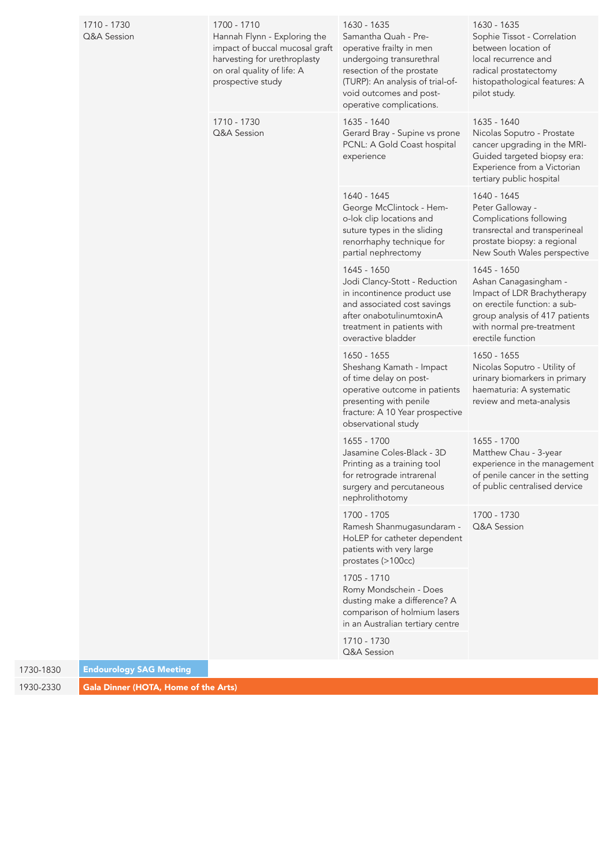|             | 1710 - 1730                          | 1700 - 1710                                                                                                                                                                                | 1630 - 1635                                                                                                                                                                                          | 1630 - 1635                                                                                                                                                         |
|-------------|--------------------------------------|--------------------------------------------------------------------------------------------------------------------------------------------------------------------------------------------|------------------------------------------------------------------------------------------------------------------------------------------------------------------------------------------------------|---------------------------------------------------------------------------------------------------------------------------------------------------------------------|
| Q&A Session |                                      | Hannah Flynn - Exploring the<br>impact of buccal mucosal graft<br>harvesting for urethroplasty<br>on oral quality of life: A<br>prospective study                                          | Samantha Quah - Pre-<br>operative frailty in men<br>undergoing transurethral<br>resection of the prostate<br>(TURP): An analysis of trial-of-<br>void outcomes and post-<br>operative complications. | Sophie Tissot - Correlation<br>between location of<br>local recurrence and<br>radical prostatectomy<br>histopathological features: A<br>pilot study.                |
|             |                                      | 1710 - 1730<br>Q&A Session                                                                                                                                                                 | 1635 - 1640<br>Gerard Bray - Supine vs prone<br>PCNL: A Gold Coast hospital<br>experience                                                                                                            | 1635 - 1640<br>Nicolas Soputro - Prostate<br>cancer upgrading in the MRI-<br>Guided targeted biopsy era:<br>Experience from a Victorian<br>tertiary public hospital |
|             |                                      |                                                                                                                                                                                            | 1640 - 1645<br>George McClintock - Hem-<br>o-lok clip locations and<br>suture types in the sliding<br>renorrhaphy technique for<br>partial nephrectomy                                               | 1640 - 1645<br>Peter Galloway -<br>Complications following<br>transrectal and transperineal<br>prostate biopsy: a regional<br>New South Wales perspective           |
|             |                                      | 1645 - 1650<br>Jodi Clancy-Stott - Reduction<br>in incontinence product use<br>and associated cost savings<br>after onabotulinumtoxinA<br>treatment in patients with<br>overactive bladder | 1645 - 1650<br>Ashan Canagasingham -<br>Impact of LDR Brachytherapy<br>on erectile function: a sub-<br>group analysis of 417 patients<br>with normal pre-treatment<br>erectile function              |                                                                                                                                                                     |
|             |                                      | 1650 - 1655<br>Sheshang Kamath - Impact<br>of time delay on post-<br>operative outcome in patients<br>presenting with penile<br>fracture: A 10 Year prospective<br>observational study     | 1650 - 1655<br>Nicolas Soputro - Utility of<br>urinary biomarkers in primary<br>haematuria: A systematic<br>review and meta-analysis                                                                 |                                                                                                                                                                     |
|             |                                      |                                                                                                                                                                                            | 1655 - 1700<br>Jasamine Coles-Black - 3D<br>Printing as a training tool<br>for retrograde intrarenal<br>surgery and percutaneous<br>nephrolithotomy                                                  | 1655 - 1700<br>Matthew Chau - 3-year<br>experience in the management<br>of penile cancer in the setting<br>of public centralised dervice                            |
|             |                                      |                                                                                                                                                                                            | 1700 - 1705<br>Ramesh Shanmugasundaram -<br>HoLEP for catheter dependent<br>patients with very large<br>prostates (>100cc)                                                                           | 1700 - 1730<br>Q&A Session                                                                                                                                          |
|             |                                      |                                                                                                                                                                                            | 1705 - 1710<br>Romy Mondschein - Does<br>dusting make a difference? A<br>comparison of holmium lasers<br>in an Australian tertiary centre                                                            |                                                                                                                                                                     |
|             |                                      |                                                                                                                                                                                            | 1710 - 1730<br>Q&A Session                                                                                                                                                                           |                                                                                                                                                                     |
| 1730-1830   | <b>Endourology SAG Meeting</b>       |                                                                                                                                                                                            |                                                                                                                                                                                                      |                                                                                                                                                                     |
| 1930-2330   | Gala Dinner (HOTA, Home of the Arts) |                                                                                                                                                                                            |                                                                                                                                                                                                      |                                                                                                                                                                     |